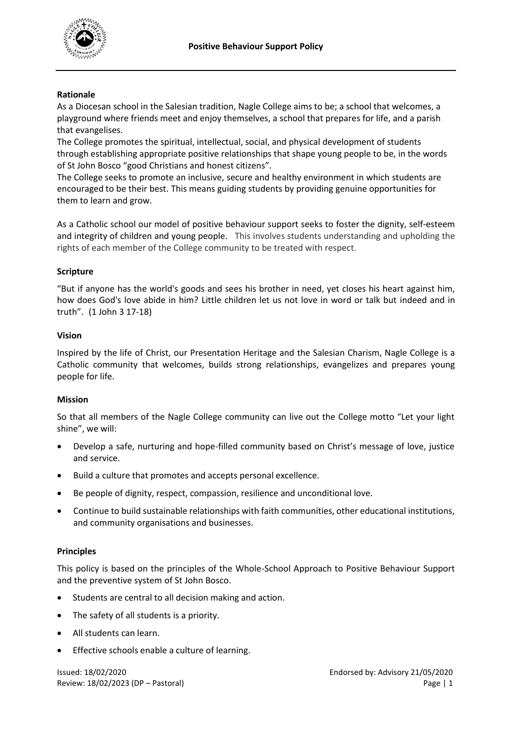

### **Rationale**

As a Diocesan school in the Salesian tradition, Nagle College aims to be; a school that welcomes, a playground where friends meet and enjoy themselves, a school that prepares for life, and a parish that evangelises.

The College promotes the spiritual, intellectual, social, and physical development of students through establishing appropriate positive relationships that shape young people to be, in the words of St John Bosco "good Christians and honest citizens".

The College seeks to promote an inclusive, secure and healthy environment in which students are encouraged to be their best. This means guiding students by providing genuine opportunities for them to learn and grow.

As a Catholic school our model of positive behaviour support seeks to foster the dignity, self-esteem and integrity of children and young people. This involves students understanding and upholding the rights of each member of the College community to be treated with respect.

# **Scripture**

"But if anyone has the world's goods and sees his brother in need, yet closes his heart against him, how does God's love abide in him? Little children let us not love in word or talk but indeed and in truth". (1 John 3 17-18)

### **Vision**

Inspired by the life of Christ, our Presentation Heritage and the Salesian Charism, Nagle College is a Catholic community that welcomes, builds strong relationships, evangelizes and prepares young people for life.

# **Mission**

So that all members of the Nagle College community can live out the College motto "Let your light shine", we will:

- Develop a safe, nurturing and hope-filled community based on Christ's message of love, justice and service.
- Build a culture that promotes and accepts personal excellence.
- Be people of dignity, respect, compassion, resilience and unconditional love.
- Continue to build sustainable relationships with faith communities, other educational institutions, and community organisations and businesses.

#### **Principles**

This policy is based on the principles of the Whole-School Approach to Positive Behaviour Support and the preventive system of St John Bosco.

- Students are central to all decision making and action.
- The safety of all students is a priority.
- All students can learn.
- Effective schools enable a culture of learning.

Review: 18/02/2023 (DP – Pastoral) Page | 1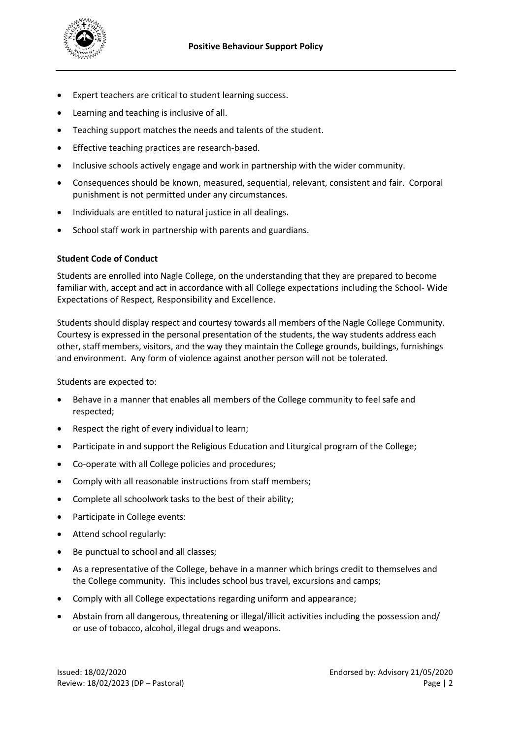- Expert teachers are critical to student learning success.
- Learning and teaching is inclusive of all.
- Teaching support matches the needs and talents of the student.
- Effective teaching practices are research-based.
- Inclusive schools actively engage and work in partnership with the wider community.
- Consequences should be known, measured, sequential, relevant, consistent and fair. Corporal punishment is not permitted under any circumstances.
- Individuals are entitled to natural justice in all dealings.
- School staff work in partnership with parents and guardians.

# **Student Code of Conduct**

Students are enrolled into Nagle College, on the understanding that they are prepared to become familiar with, accept and act in accordance with all College expectations including the School- Wide Expectations of Respect, Responsibility and Excellence.

Students should display respect and courtesy towards all members of the Nagle College Community. Courtesy is expressed in the personal presentation of the students, the way students address each other, staff members, visitors, and the way they maintain the College grounds, buildings, furnishings and environment. Any form of violence against another person will not be tolerated.

Students are expected to:

- Behave in a manner that enables all members of the College community to feel safe and respected;
- Respect the right of every individual to learn;
- Participate in and support the Religious Education and Liturgical program of the College;
- Co-operate with all College policies and procedures;
- Comply with all reasonable instructions from staff members;
- Complete all schoolwork tasks to the best of their ability;
- Participate in College events:
- Attend school regularly:
- Be punctual to school and all classes;
- As a representative of the College, behave in a manner which brings credit to themselves and the College community. This includes school bus travel, excursions and camps;
- Comply with all College expectations regarding uniform and appearance;
- Abstain from all dangerous, threatening or illegal/illicit activities including the possession and/ or use of tobacco, alcohol, illegal drugs and weapons.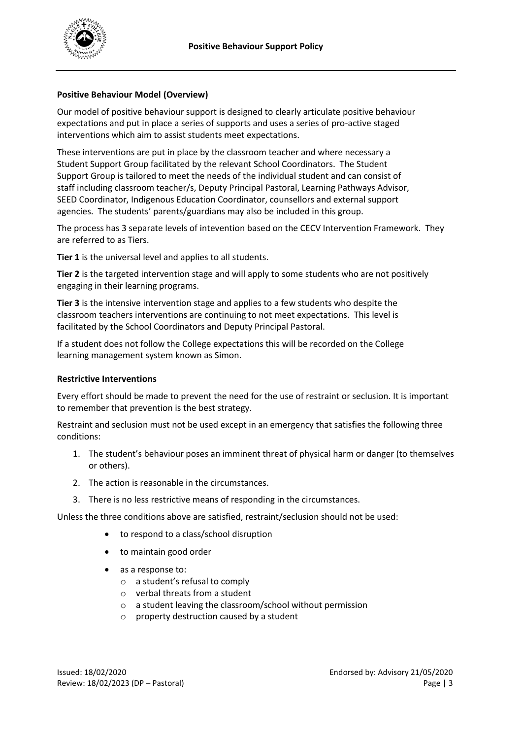

# **Positive Behaviour Model (Overview)**

Our model of positive behaviour support is designed to clearly articulate positive behaviour expectations and put in place a series of supports and uses a series of pro-active staged interventions which aim to assist students meet expectations.

These interventions are put in place by the classroom teacher and where necessary a Student Support Group facilitated by the relevant School Coordinators. The Student Support Group is tailored to meet the needs of the individual student and can consist of staff including classroom teacher/s, Deputy Principal Pastoral, Learning Pathways Advisor, SEED Coordinator, Indigenous Education Coordinator, counsellors and external support agencies. The students' parents/guardians may also be included in this group.

The process has 3 separate levels of intevention based on the CECV Intervention Framework. They are referred to as Tiers.

**Tier 1** is the universal level and applies to all students.

**Tier 2** is the targeted intervention stage and will apply to some students who are not positively engaging in their learning programs.

**Tier 3** is the intensive intervention stage and applies to a few students who despite the classroom teachers interventions are continuing to not meet expectations. This level is facilitated by the School Coordinators and Deputy Principal Pastoral.

If a student does not follow the College expectations this will be recorded on the College learning management system known as Simon.

#### **Restrictive Interventions**

Every effort should be made to prevent the need for the use of restraint or seclusion. It is important to remember that prevention is the best strategy.

Restraint and seclusion must not be used except in an emergency that satisfies the following three conditions:

- 1. The student's behaviour poses an imminent threat of physical harm or danger (to themselves or others).
- 2. The action is reasonable in the circumstances.
- 3. There is no less restrictive means of responding in the circumstances.

Unless the three conditions above are satisfied, restraint/seclusion should not be used:

- to respond to a class/school disruption
- to maintain good order
- as a response to:
	- o a student's refusal to comply
	- o verbal threats from a student
	- o a student leaving the classroom/school without permission
	- $\circ$  property destruction caused by a student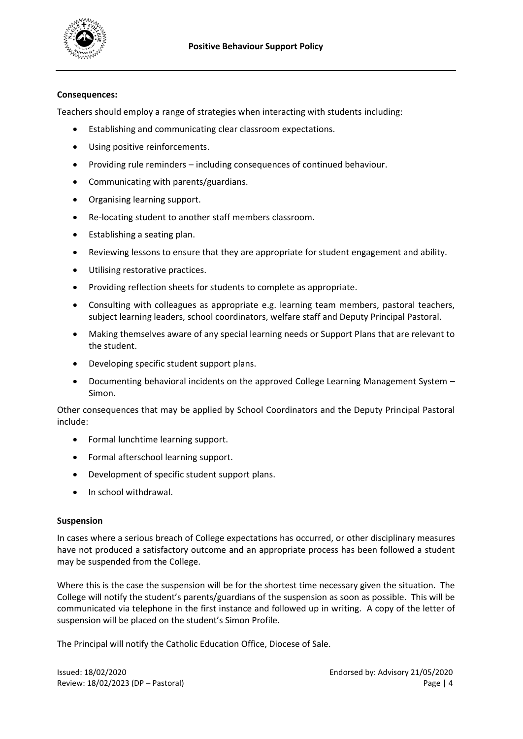

### **Consequences:**

Teachers should employ a range of strategies when interacting with students including:

- Establishing and communicating clear classroom expectations.
- Using positive reinforcements.
- Providing rule reminders including consequences of continued behaviour.
- Communicating with parents/guardians.
- Organising learning support.
- Re-locating student to another staff members classroom.
- Establishing a seating plan.
- Reviewing lessons to ensure that they are appropriate for student engagement and ability.
- Utilising restorative practices.
- Providing reflection sheets for students to complete as appropriate.
- Consulting with colleagues as appropriate e.g. learning team members, pastoral teachers, subject learning leaders, school coordinators, welfare staff and Deputy Principal Pastoral.
- Making themselves aware of any special learning needs or Support Plans that are relevant to the student.
- Developing specific student support plans.
- Documenting behavioral incidents on the approved College Learning Management System Simon.

Other consequences that may be applied by School Coordinators and the Deputy Principal Pastoral include:

- Formal lunchtime learning support.
- Formal afterschool learning support.
- Development of specific student support plans.
- In school withdrawal.

# **Suspension**

In cases where a serious breach of College expectations has occurred, or other disciplinary measures have not produced a satisfactory outcome and an appropriate process has been followed a student may be suspended from the College.

Where this is the case the suspension will be for the shortest time necessary given the situation. The College will notify the student's parents/guardians of the suspension as soon as possible. This will be communicated via telephone in the first instance and followed up in writing. A copy of the letter of suspension will be placed on the student's Simon Profile.

The Principal will notify the Catholic Education Office, Diocese of Sale.